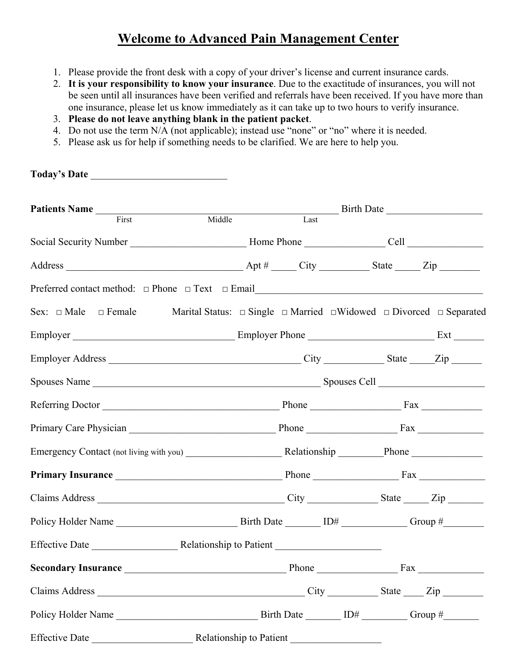# **Welcome to Advanced Pain Management Center**

- 1. Please provide the front desk with a copy of your driver's license and current insurance cards.
- 2. **It is your responsibility to know your insurance**. Due to the exactitude of insurances, you will not be seen until all insurances have been verified and referrals have been received. If you have more than one insurance, please let us know immediately as it can take up to two hours to verify insurance.
- 3. **Please do not leave anything blank in the patient packet**.
- 4. Do not use the term N/A (not applicable); instead use "none" or "no" where it is needed.
- 5. Please ask us for help if something needs to be clarified. We are here to help you.

| Today's Date                                                                                                                |                         |  |  |
|-----------------------------------------------------------------------------------------------------------------------------|-------------------------|--|--|
|                                                                                                                             |                         |  |  |
| Patients Name First Middle Last Birth Date Last                                                                             |                         |  |  |
|                                                                                                                             |                         |  |  |
|                                                                                                                             |                         |  |  |
|                                                                                                                             |                         |  |  |
| Sex: $\Box$ Male $\Box$ Female Marital Status: $\Box$ Single $\Box$ Married $\Box$ Widowed $\Box$ Divorced $\Box$ Separated |                         |  |  |
|                                                                                                                             |                         |  |  |
|                                                                                                                             |                         |  |  |
|                                                                                                                             |                         |  |  |
|                                                                                                                             |                         |  |  |
|                                                                                                                             |                         |  |  |
|                                                                                                                             |                         |  |  |
|                                                                                                                             |                         |  |  |
|                                                                                                                             |                         |  |  |
|                                                                                                                             |                         |  |  |
| <b>Effective Date</b>                                                                                                       | Relationship to Patient |  |  |
|                                                                                                                             |                         |  |  |
|                                                                                                                             |                         |  |  |
|                                                                                                                             |                         |  |  |
|                                                                                                                             |                         |  |  |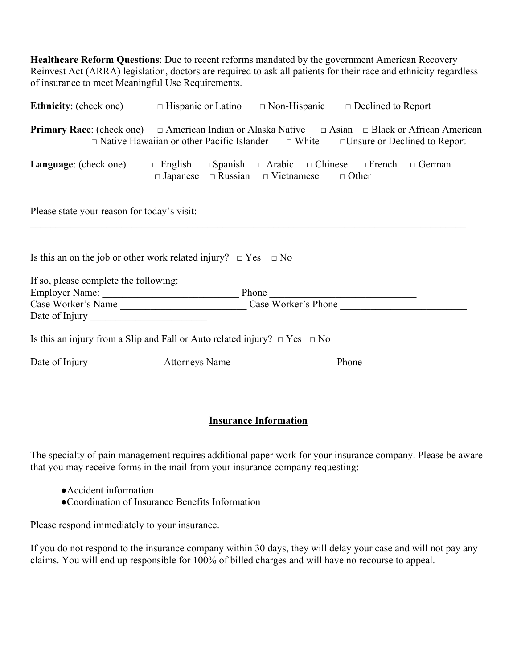**Healthcare Reform Questions**: Due to recent reforms mandated by the government American Recovery Reinvest Act (ARRA) legislation, doctors are required to ask all patients for their race and ethnicity regardless of insurance to meet Meaningful Use Requirements.

| <b>Ethnicity</b> : (check one) $\Box$ Hispanic or Latino $\Box$ Non-Hispanic $\Box$ Declined to Report                 |                                                                                                   |  |       |  |  |  |
|------------------------------------------------------------------------------------------------------------------------|---------------------------------------------------------------------------------------------------|--|-------|--|--|--|
| <b>Primary Race:</b> (check one) $\Box$ American Indian or Alaska Native $\Box$ Asian $\Box$ Black or African American | $\Box$ Native Hawaiian or other Pacific Islander $\Box$ White $\Box$ Unsure or Declined to Report |  |       |  |  |  |
| <b>Language</b> : (check one) $\Box$ English $\Box$ Spanish $\Box$ Arabic $\Box$ Chinese $\Box$ French $\Box$ German   | $\Box$ Japanese $\Box$ Russian $\Box$ Vietnamese $\Box$ Other                                     |  |       |  |  |  |
|                                                                                                                        |                                                                                                   |  |       |  |  |  |
| Is this an on the job or other work related injury? $\Box$ Yes $\Box$ No                                               |                                                                                                   |  |       |  |  |  |
| If so, please complete the following:                                                                                  |                                                                                                   |  |       |  |  |  |
|                                                                                                                        |                                                                                                   |  |       |  |  |  |
|                                                                                                                        |                                                                                                   |  |       |  |  |  |
|                                                                                                                        |                                                                                                   |  |       |  |  |  |
| Is this an injury from a Slip and Fall or Auto related injury? $\Box$ Yes $\Box$ No                                    |                                                                                                   |  |       |  |  |  |
|                                                                                                                        |                                                                                                   |  | Phone |  |  |  |

### **Insurance Information**

The specialty of pain management requires additional paper work for your insurance company. Please be aware that you may receive forms in the mail from your insurance company requesting:

- ●Accident information
- ●Coordination of Insurance Benefits Information

Please respond immediately to your insurance.

If you do not respond to the insurance company within 30 days, they will delay your case and will not pay any claims. You will end up responsible for 100% of billed charges and will have no recourse to appeal.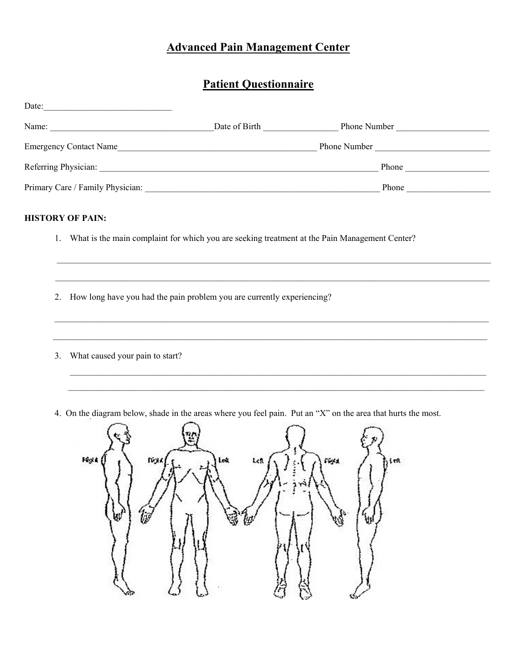## **Patient Questionnaire**

| Date:                            |               |              |  |
|----------------------------------|---------------|--------------|--|
| Name:                            | Date of Birth | Phone Number |  |
| <b>Emergency Contact Name</b>    |               | Phone Number |  |
| Referring Physician:             |               | Phone        |  |
| Primary Care / Family Physician: |               | Phone        |  |

 $\mathcal{L}_\mathcal{L} = \mathcal{L}_\mathcal{L} = \mathcal{L}_\mathcal{L} = \mathcal{L}_\mathcal{L} = \mathcal{L}_\mathcal{L} = \mathcal{L}_\mathcal{L} = \mathcal{L}_\mathcal{L} = \mathcal{L}_\mathcal{L} = \mathcal{L}_\mathcal{L} = \mathcal{L}_\mathcal{L} = \mathcal{L}_\mathcal{L} = \mathcal{L}_\mathcal{L} = \mathcal{L}_\mathcal{L} = \mathcal{L}_\mathcal{L} = \mathcal{L}_\mathcal{L} = \mathcal{L}_\mathcal{L} = \mathcal{L}_\mathcal{L}$ 

 $\mathcal{L}_\mathcal{L} = \mathcal{L}_\mathcal{L} = \mathcal{L}_\mathcal{L} = \mathcal{L}_\mathcal{L} = \mathcal{L}_\mathcal{L} = \mathcal{L}_\mathcal{L} = \mathcal{L}_\mathcal{L} = \mathcal{L}_\mathcal{L} = \mathcal{L}_\mathcal{L} = \mathcal{L}_\mathcal{L} = \mathcal{L}_\mathcal{L} = \mathcal{L}_\mathcal{L} = \mathcal{L}_\mathcal{L} = \mathcal{L}_\mathcal{L} = \mathcal{L}_\mathcal{L} = \mathcal{L}_\mathcal{L} = \mathcal{L}_\mathcal{L}$ 

 $\mathcal{L}_\mathcal{L} = \mathcal{L}_\mathcal{L} = \mathcal{L}_\mathcal{L} = \mathcal{L}_\mathcal{L} = \mathcal{L}_\mathcal{L} = \mathcal{L}_\mathcal{L} = \mathcal{L}_\mathcal{L} = \mathcal{L}_\mathcal{L} = \mathcal{L}_\mathcal{L} = \mathcal{L}_\mathcal{L} = \mathcal{L}_\mathcal{L} = \mathcal{L}_\mathcal{L} = \mathcal{L}_\mathcal{L} = \mathcal{L}_\mathcal{L} = \mathcal{L}_\mathcal{L} = \mathcal{L}_\mathcal{L} = \mathcal{L}_\mathcal{L}$ 

 $\mathcal{L}_\text{max}$  and the contribution of the contribution of the contribution of the contribution of the contribution of the contribution of the contribution of the contribution of the contribution of the contribution of the

### **HISTORY OF PAIN:**

- 1. What is the main complaint for which you are seeking treatment at the Pain Management Center?
- 2. How long have you had the pain problem you are currently experiencing?
- 3. What caused your pain to start?
- 4. On the diagram below, shade in the areas where you feel pain. Put an "X" on the area that hurts the most.

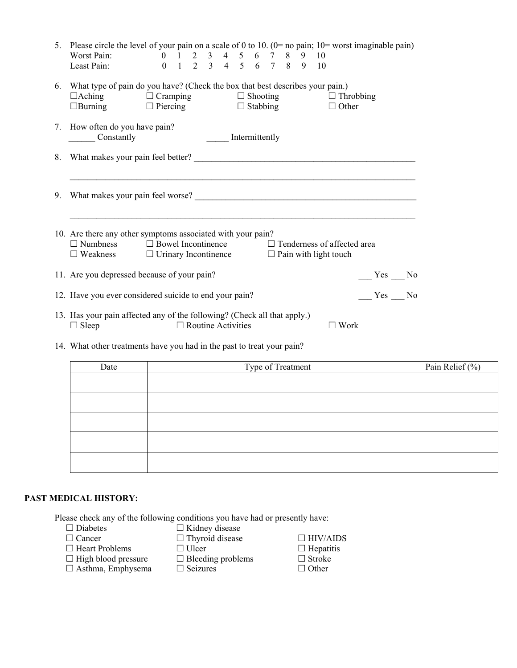|    | 5. Please circle the level of your pain on a scale of 0 to 10. $(0=$ no pain; 10= worst imaginable pain)                                                                                                       |
|----|----------------------------------------------------------------------------------------------------------------------------------------------------------------------------------------------------------------|
|    | 0 1 2 3 4 5 6 7 8 9 10<br>Worst Pain:<br>0 1 2 3 4 5 6 7 8 9 10<br>Least Pain:                                                                                                                                 |
| 6. | What type of pain do you have? (Check the box that best describes your pain.)<br>$\Box$ Aching $\Box$ Cramping $\Box$ Shooting $\Box$ Throbbing<br>$\Box$ Burning $\Box$ Piercing $\Box$ Stabbing $\Box$ Other |
|    | 7. How often do you have pain?<br>Intermittently<br>Constantly                                                                                                                                                 |
| 8. |                                                                                                                                                                                                                |
| 9. |                                                                                                                                                                                                                |
|    | 10. Are there any other symptoms associated with your pain?<br>$\Box$ Numbness $\Box$ Bowel Incontinence $\Box$ Tenderness of affected area                                                                    |
|    | $\square$ Weakness $\square$ Urinary Incontinence $\square$ Pain with light touch                                                                                                                              |
|    | 11. Are you depressed because of your pain?<br>Yes No                                                                                                                                                          |
|    | 12. Have you ever considered suicide to end your pain?<br>$Yes$ No                                                                                                                                             |
|    | 13. Has your pain affected any of the following? (Check all that apply.)                                                                                                                                       |

14. What other treatments have you had in the past to treat your pain?

| Date | Type of Treatment | Pain Relief $(\%)$ |
|------|-------------------|--------------------|
|      |                   |                    |
|      |                   |                    |
|      |                   |                    |
|      |                   |                    |
|      |                   |                    |

#### **PAST MEDICAL HISTORY:**

Please check any of the following conditions you have had or presently have:<br> $\square$  Diabetes  $\square$  Kidney disease

- 
- $\square$  Diabetes  $\square$  Kidney disease  $\square$  Cancer  $\square$  Thyroid disease
- 
- 
- $\Box$  Heart Problems  $\Box$  Ulcer  $\Box$  Hepatiti $\Box$  High blood pressure  $\Box$  Bleeding problems  $\Box$  Stroke
- $\Box$  High blood pressure  $\Box$  Asthma, Emphysema  $\Box$  Seizures  $\Box$  Other
	-
- $\Box$  Thyroid disease  $\Box$  HIV/AIDS<br> $\Box$  Ulcer  $\Box$  Hepatitis
	-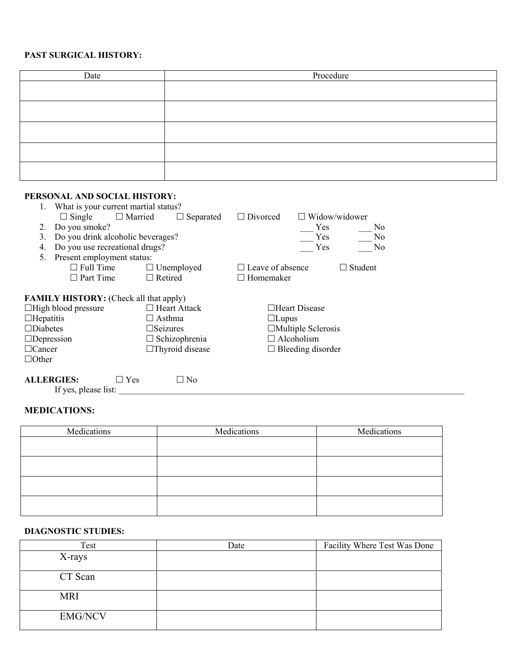### **PAST SURGICAL HISTORY:**

| Date | Procedure |
|------|-----------|
|      |           |
|      |           |
|      |           |
|      |           |
|      |           |
|      |           |
|      |           |
|      |           |
|      |           |
|      |           |

#### **PERSONAL AND SOCIAL HISTORY:**

|                   | 1. What is your current martial status?       |                                    |                         |                           |                      |
|-------------------|-----------------------------------------------|------------------------------------|-------------------------|---------------------------|----------------------|
|                   | $\Box$ Single                                 | $\Box$ Married<br>$\Box$ Separated | $\Box$ Divorced         |                           | $\Box$ Widow/widower |
| 2.                | Do you smoke?                                 |                                    |                         | Yes.                      | N <sub>0</sub>       |
| 3.                | Do you drink alcoholic beverages?             |                                    |                         | Yes                       | N <sub>0</sub>       |
| 4.                | Do you use recreational drugs?                |                                    |                         | Yes                       | N <sub>0</sub>       |
| 5.                | Present employment status:                    |                                    |                         |                           |                      |
|                   | $\Box$ Full Time                              | $\Box$ Unemployed                  | $\Box$ Leave of absence |                           | $\Box$ Student       |
|                   | $\Box$ Part Time                              | $\Box$ Retired                     | $\Box$ Homemaker        |                           |                      |
|                   |                                               |                                    |                         |                           |                      |
|                   | <b>FAMILY HISTORY:</b> (Check all that apply) |                                    |                         |                           |                      |
|                   | $\Box$ High blood pressure                    | $\Box$ Heart Attack                |                         | $\Box$ Heart Disease      |                      |
| $\Box$ Hepatitis  |                                               | $\square$ Asthma                   |                         | $\Box$ Lupus              |                      |
| $\Box$ Diabetes   |                                               | $\square$ Seizures                 |                         | $\Box$ Multiple Sclerosis |                      |
| $\Box$ Depression |                                               | $\Box$ Schizophrenia               |                         | $\Box$ Alcoholism         |                      |
| $\Box$ Cancer     |                                               | $\Box$ Thyroid disease             |                         | $\Box$ Bleeding disorder  |                      |
| $\Box$ Other      |                                               |                                    |                         |                           |                      |
| <b>ALLERGIES:</b> | $\Box$ Yes                                    | N <sub>0</sub>                     |                         |                           |                      |
|                   | $\mathbf{F}$ $\mathbf{F}$                     |                                    |                         |                           |                      |

If yes, please list:

### **MEDICATIONS:**

| Medications | Medications | Medications |
|-------------|-------------|-------------|
|             |             |             |
|             |             |             |
|             |             |             |
|             |             |             |
|             |             |             |
|             |             |             |
|             |             |             |
|             |             |             |

#### **DIAGNOSTIC STUDIES:**

| Test           | Date | Facility Where Test Was Done |
|----------------|------|------------------------------|
| X-rays         |      |                              |
| CT Scan        |      |                              |
| <b>MRI</b>     |      |                              |
| <b>EMG/NCV</b> |      |                              |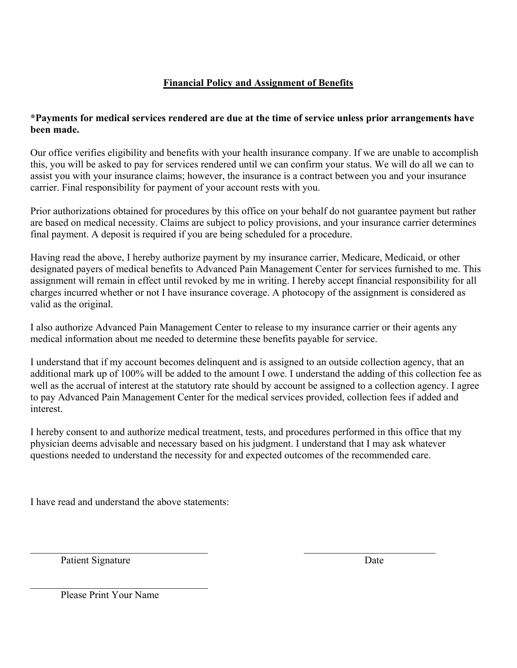## **Financial Policy and Assignment of Benefits**

### **\*Payments for medical services rendered are due at the time of service unless prior arrangements have been made.**

Our office verifies eligibility and benefits with your health insurance company. If we are unable to accomplish this, you will be asked to pay for services rendered until we can confirm your status. We will do all we can to assist you with your insurance claims; however, the insurance is a contract between you and your insurance carrier. Final responsibility for payment of your account rests with you.

Prior authorizations obtained for procedures by this office on your behalf do not guarantee payment but rather are based on medical necessity. Claims are subject to policy provisions, and your insurance carrier determines final payment. A deposit is required if you are being scheduled for a procedure.

Having read the above, I hereby authorize payment by my insurance carrier, Medicare, Medicaid, or other designated payers of medical benefits to Advanced Pain Management Center for services furnished to me. This assignment will remain in effect until revoked by me in writing. I hereby accept financial responsibility for all charges incurred whether or not I have insurance coverage. A photocopy of the assignment is considered as valid as the original.

I also authorize Advanced Pain Management Center to release to my insurance carrier or their agents any medical information about me needed to determine these benefits payable for service.

I understand that if my account becomes delinquent and is assigned to an outside collection agency, that an additional mark up of 100% will be added to the amount I owe. I understand the adding of this collection fee as well as the accrual of interest at the statutory rate should by account be assigned to a collection agency. I agree to pay Advanced Pain Management Center for the medical services provided, collection fees if added and interest.

I hereby consent to and authorize medical treatment, tests, and procedures performed in this office that my physician deems advisable and necessary based on his judgment. I understand that I may ask whatever questions needed to understand the necessity for and expected outcomes of the recommended care.

 $\mathcal{L}_\text{max}$  , and the contribution of the contribution of the contribution of the contribution of the contribution of the contribution of the contribution of the contribution of the contribution of the contribution of t

I have read and understand the above statements:

Patient Signature Date

Please Print Your Name

 $\mathcal{L}_\text{max}$  , where  $\mathcal{L}_\text{max}$  and  $\mathcal{L}_\text{max}$  and  $\mathcal{L}_\text{max}$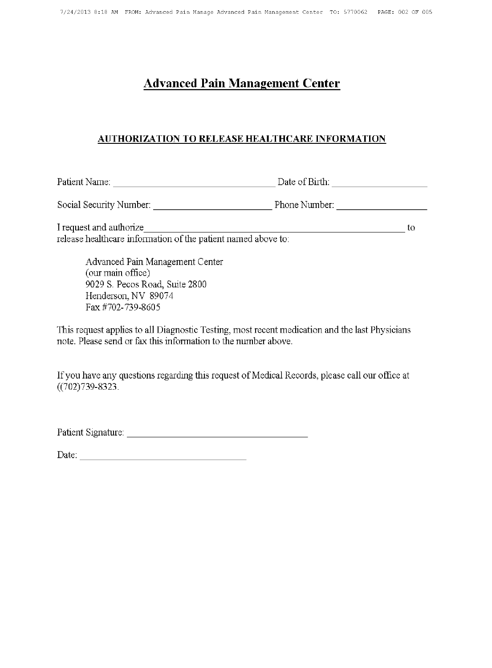## **AUTHORIZATION TO RELEASE HEALTHCARE INFORMATION**

I request and authorize  $\overline{\phantom{a}}$  to release healthcare information of the patient named above to:

Advanced Pain Management Center (our main office) 9029 S. Pecos Road, Suite 2800 Henderson, NV 89074 Fax #702-739-8605

This request applies to all Diagnostic Testing, most recent medication and the last Physicians note. Please send or fax this information to the number above.

If you have any questions regarding this request of Medical Records, please call our office at  $((702)739 - 8323)$ .

Patient Signature: The Contract of the Contract of the Contract of the Contract of the Contract of the Contract of the Contract of the Contract of the Contract of the Contract of the Contract of the Contract of the Contrac

Date: the contract of the contract of the contract of the contract of the contract of the contract of the contract of the contract of the contract of the contract of the contract of the contract of the contract of the cont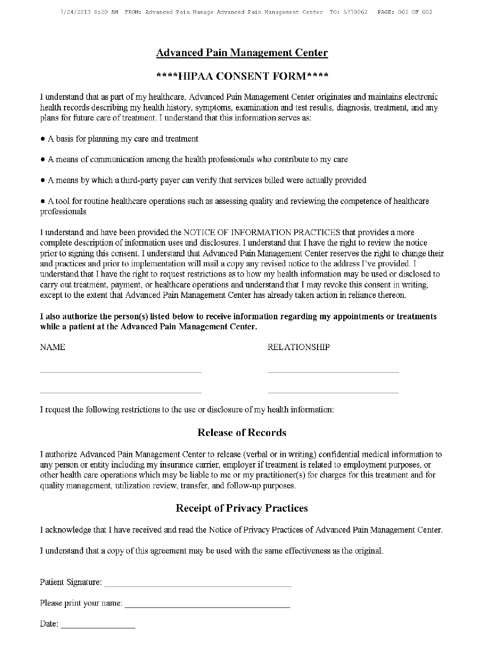## \*\*\*\*HIPAA CONSENT FORM\*\*\*\*

I understand that as part of my healthcare, Advanced Pain Management Center originates and maintains electronic health records describing my health history, symptoms, examination and test results, diagnosis, treatment, and any plans for future care of treatment. I understand that this information serves as:

- A basis for planning my care and treatment
- A means of communication among the health professionals who contribute to my care
- A means by which a third-party payer can verify that services billed were actually provided

• A tool for routine healthcare operations such as assessing quality and reviewing the competence of healthcare professionals

I understand and have been provided the NOTICE OF INFORMATION PRACTICES that provides a more complete description of information uses and disclosures. I understand that I have the right to review the notice prior to signing this consent. I understand that Advanced Pain Management Center reserves the right to change their and practices and prior to implementation will mail a copy any revised notice to the address I've provided. I understand that I have the right to request restrictions as to how my health information may be used or disclosed to carry out treatment, payment, or healthcare operations and understand that I may revoke this consent in writing, except to the extent that Advanced Pain Management Center has already taken action in reliance thereon.

I also authorize the person(s) listed below to receive information regarding my appointments or treatments while a patient at the Advanced Pain Management Center.

| <b>NAME</b> | RELATIONSHIP |
|-------------|--------------|
|             |              |
|             |              |
|             |              |

I request the following restrictions to the use or disclosure of my health information:

## **Release of Records**

I authorize Advanced Pain Management Center to release (verbal or in writing) confidential medical information to any person or entity including my insurance carrier, employer if treatment is related to employment purposes, or other health care operations which may be liable to me or my practitioner(s) for charges for this treatment and for quality management, utilization review, transfer, and follow-up purposes.

## **Receipt of Privacy Practices**

I acknowledge that I have received and read the Notice of Privacy Practices of Advanced Pain Management Center.

I understand that a copy of this agreement may be used with the same effectiveness as the original.

Patient Signature: The Contract of the Contract of the Contract of the Contract of the Contract of the Contract of the Contract of the Contract of the Contract of the Contract of the Contract of the Contract of the Contrac

Please print your name:

Date:  $\frac{1}{\sqrt{1-\frac{1}{2}}\cdot\frac{1}{2}}$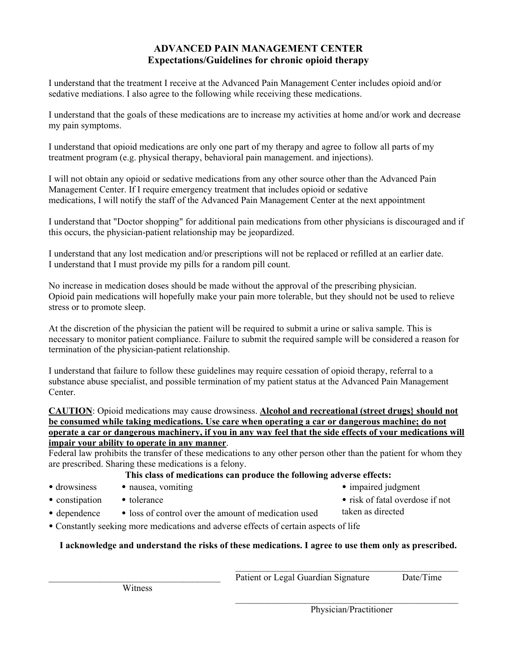### **ADVANCED PAIN MANAGEMENT CENTER Expectations/Guidelines for chronic opioid therapy**

I understand that the treatment I receive at the Advanced Pain Management Center includes opioid and/or sedative mediations. I also agree to the following while receiving these medications.

I understand that the goals of these medications are to increase my activities at home and/or work and decrease my pain symptoms.

I understand that opioid medications are only one part of my therapy and agree to follow all parts of my treatment program (e.g. physical therapy, behavioral pain management. and injections).

I will not obtain any opioid or sedative medications from any other source other than the Advanced Pain Management Center. If I require emergency treatment that includes opioid or sedative medications, I will notify the staff of the Advanced Pain Management Center at the next appointment

I understand that "Doctor shopping" for additional pain medications from other physicians is discouraged and if this occurs, the physician-patient relationship may be jeopardized.

I understand that any lost medication and/or prescriptions will not be replaced or refilled at an earlier date. I understand that I must provide my pills for a random pill count.

No increase in medication doses should be made without the approval of the prescribing physician. Opioid pain medications will hopefully make your pain more tolerable, but they should not be used to relieve stress or to promote sleep.

At the discretion of the physician the patient will be required to submit a urine or saliva sample. This is necessary to monitor patient compliance. Failure to submit the required sample will be considered a reason for termination of the physician-patient relationship.

I understand that failure to follow these guidelines may require cessation of opioid therapy, referral to a substance abuse specialist, and possible termination of my patient status at the Advanced Pain Management Center.

**CAUTION**: Opioid medications may cause drowsiness. **Alcohol and recreational (street drugs} should not be consumed while taking medications. Use care when operating a car or dangerous machine; do not operate a car or dangerous machinery, if you in any way feel that the side effects of your medications will impair your ability to operate in any manner**.

Federal law prohibits the transfer of these medications to any other person other than the patient for whom they are prescribed. Sharing these medications is a felony.

#### **This class of medications can produce the following adverse effects:**

• drowsiness

• impaired judgment

• constipation • tolerance

- risk of fatal overdose if not
- taken as directed
- dependence • loss of control over the amount of medication used

• nausea, vomiting

• Constantly seeking more medications and adverse effects of certain aspects of life

### **I acknowledge and understand the risks of these medications. I agree to use them only as prescribed.**

Physician/Practitioner

 $\mathcal{L}_\text{max}$  and the contract of the contract of the contract of the contract of the contract of the contract of the contract of the contract of the contract of the contract of the contract of the contract of the contrac